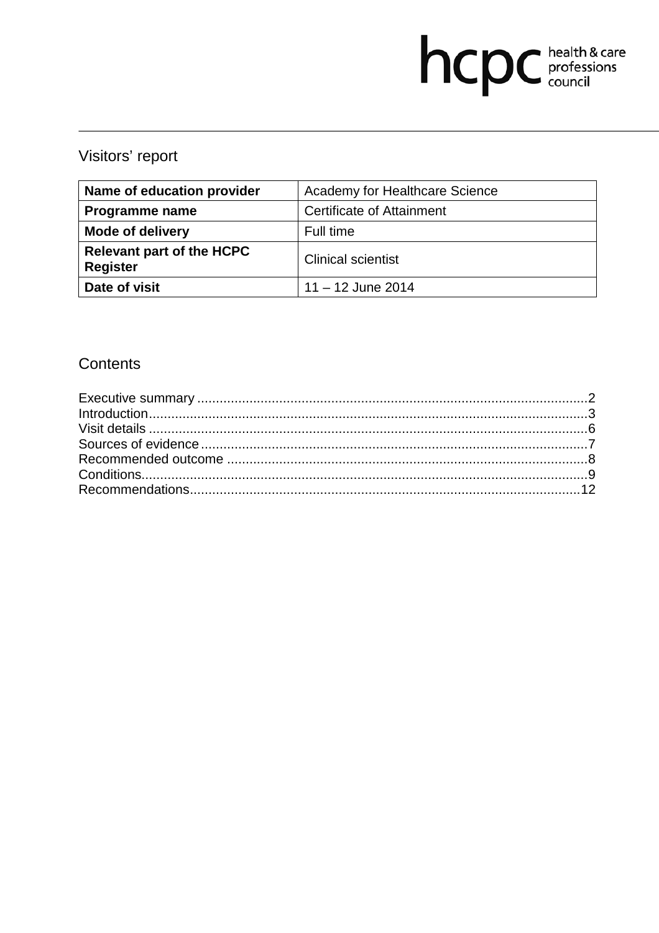# hcpc health & care

# Visitors' report

| Name of education provider                          | Academy for Healthcare Science |
|-----------------------------------------------------|--------------------------------|
| Programme name                                      | Certificate of Attainment      |
| <b>Mode of delivery</b>                             | Full time                      |
| <b>Relevant part of the HCPC</b><br><b>Register</b> | <b>Clinical scientist</b>      |
| Date of visit                                       | $11 - 12$ June 2014            |

# Contents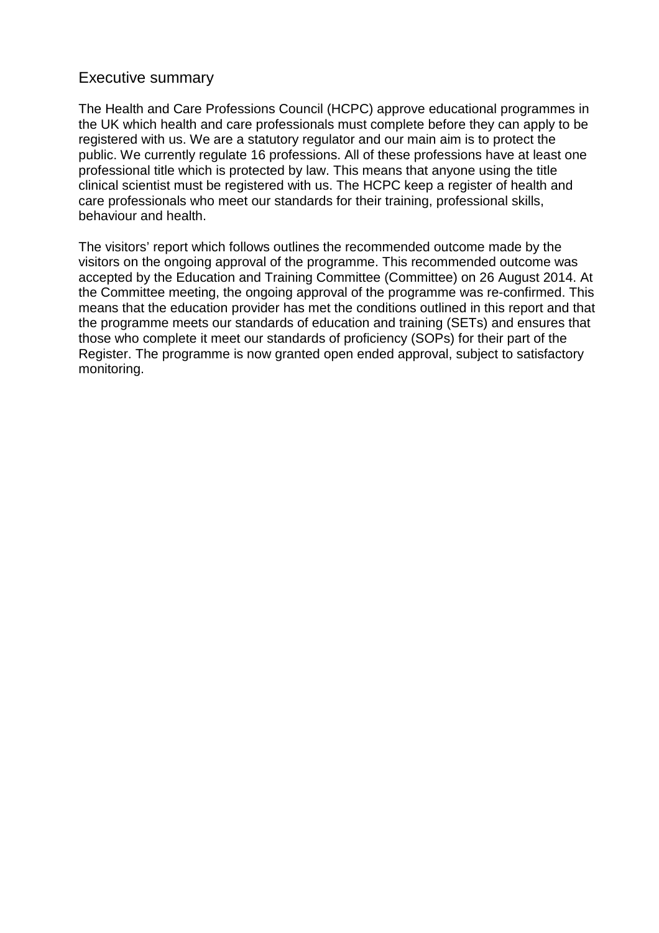## Executive summary

The Health and Care Professions Council (HCPC) approve educational programmes in the UK which health and care professionals must complete before they can apply to be registered with us. We are a statutory regulator and our main aim is to protect the public. We currently regulate 16 professions. All of these professions have at least one professional title which is protected by law. This means that anyone using the title clinical scientist must be registered with us. The HCPC keep a register of health and care professionals who meet our standards for their training, professional skills, behaviour and health.

The visitors' report which follows outlines the recommended outcome made by the visitors on the ongoing approval of the programme. This recommended outcome was accepted by the Education and Training Committee (Committee) on 26 August 2014. At the Committee meeting, the ongoing approval of the programme was re-confirmed. This means that the education provider has met the conditions outlined in this report and that the programme meets our standards of education and training (SETs) and ensures that those who complete it meet our standards of proficiency (SOPs) for their part of the Register. The programme is now granted open ended approval, subject to satisfactory monitoring.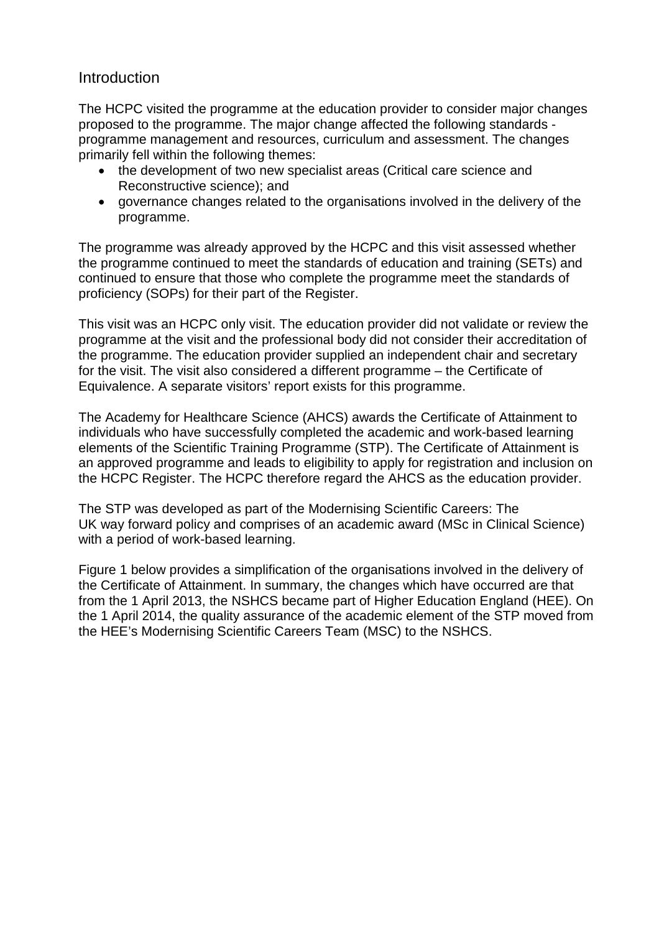# Introduction

The HCPC visited the programme at the education provider to consider major changes proposed to the programme. The major change affected the following standards programme management and resources, curriculum and assessment. The changes primarily fell within the following themes:

- the development of two new specialist areas (Critical care science and Reconstructive science); and
- governance changes related to the organisations involved in the delivery of the programme.

The programme was already approved by the HCPC and this visit assessed whether the programme continued to meet the standards of education and training (SETs) and continued to ensure that those who complete the programme meet the standards of proficiency (SOPs) for their part of the Register.

This visit was an HCPC only visit. The education provider did not validate or review the programme at the visit and the professional body did not consider their accreditation of the programme. The education provider supplied an independent chair and secretary for the visit. The visit also considered a different programme – the Certificate of Equivalence. A separate visitors' report exists for this programme.

The Academy for Healthcare Science (AHCS) awards the Certificate of Attainment to individuals who have successfully completed the academic and work-based learning elements of the Scientific Training Programme (STP). The Certificate of Attainment is an approved programme and leads to eligibility to apply for registration and inclusion on the HCPC Register. The HCPC therefore regard the AHCS as the education provider.

The STP was developed as part of the Modernising Scientific Careers: The UK way forward policy and comprises of an academic award (MSc in Clinical Science) with a period of work-based learning.

Figure 1 below provides a simplification of the organisations involved in the delivery of the Certificate of Attainment. In summary, the changes which have occurred are that from the 1 April 2013, the NSHCS became part of Higher Education England (HEE). On the 1 April 2014, the quality assurance of the academic element of the STP moved from the HEE's Modernising Scientific Careers Team (MSC) to the NSHCS.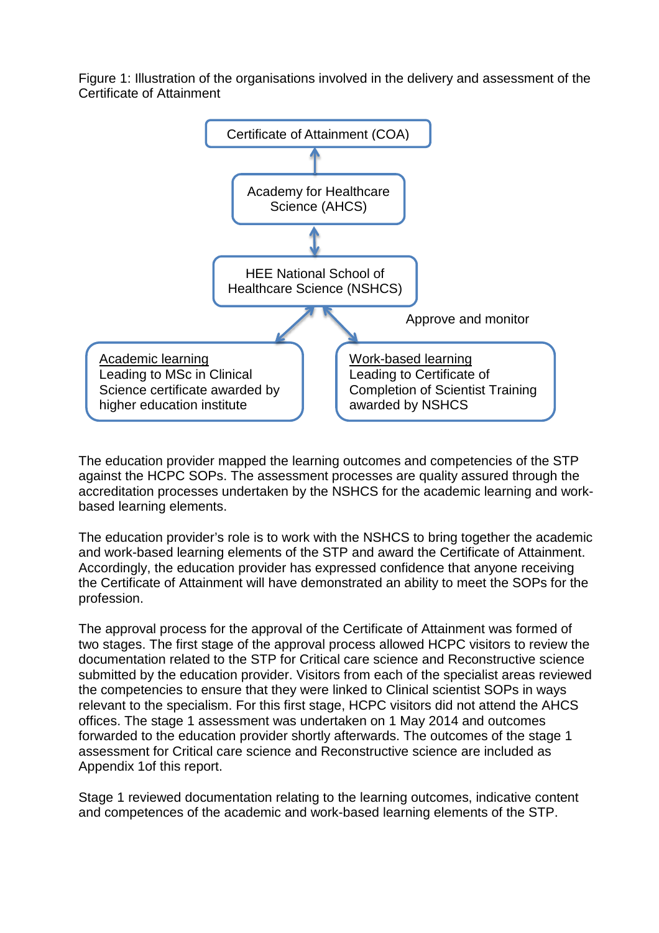Figure 1: Illustration of the organisations involved in the delivery and assessment of the Certificate of Attainment



The education provider mapped the learning outcomes and competencies of the STP against the HCPC SOPs. The assessment processes are quality assured through the accreditation processes undertaken by the NSHCS for the academic learning and workbased learning elements.

The education provider's role is to work with the NSHCS to bring together the academic and work-based learning elements of the STP and award the Certificate of Attainment. Accordingly, the education provider has expressed confidence that anyone receiving the Certificate of Attainment will have demonstrated an ability to meet the SOPs for the profession.

The approval process for the approval of the Certificate of Attainment was formed of two stages. The first stage of the approval process allowed HCPC visitors to review the documentation related to the STP for Critical care science and Reconstructive science submitted by the education provider. Visitors from each of the specialist areas reviewed the competencies to ensure that they were linked to Clinical scientist SOPs in ways relevant to the specialism. For this first stage, HCPC visitors did not attend the AHCS offices. The stage 1 assessment was undertaken on 1 May 2014 and outcomes forwarded to the education provider shortly afterwards. The outcomes of the stage 1 assessment for Critical care science and Reconstructive science are included as Appendix 1of this report.

Stage 1 reviewed documentation relating to the learning outcomes, indicative content and competences of the academic and work-based learning elements of the STP.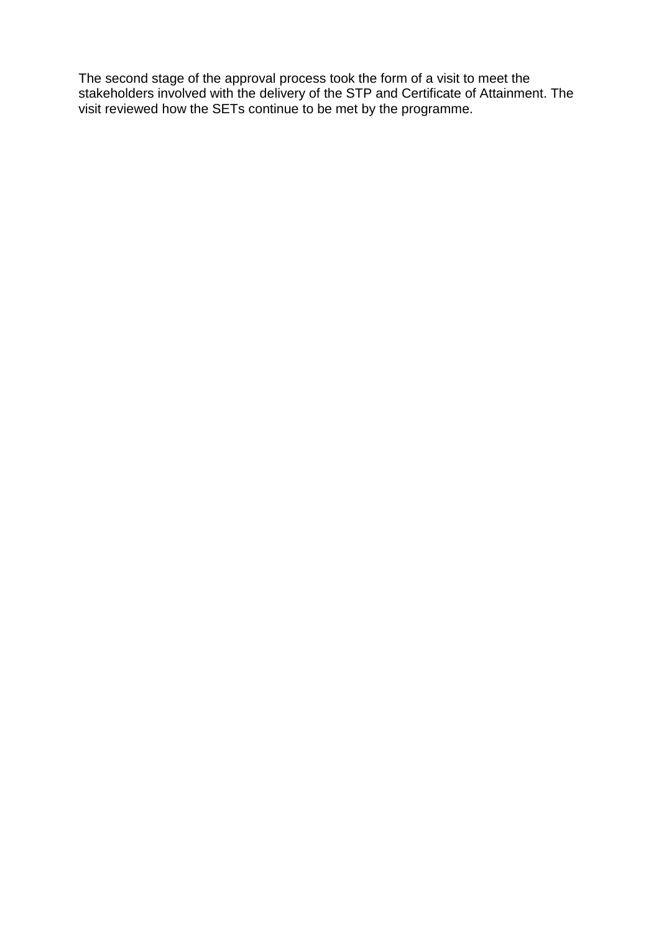The second stage of the approval process took the form of a visit to meet the stakeholders involved with the delivery of the STP and Certificate of Attainment. The visit reviewed how the SETs continue to be met by the programme.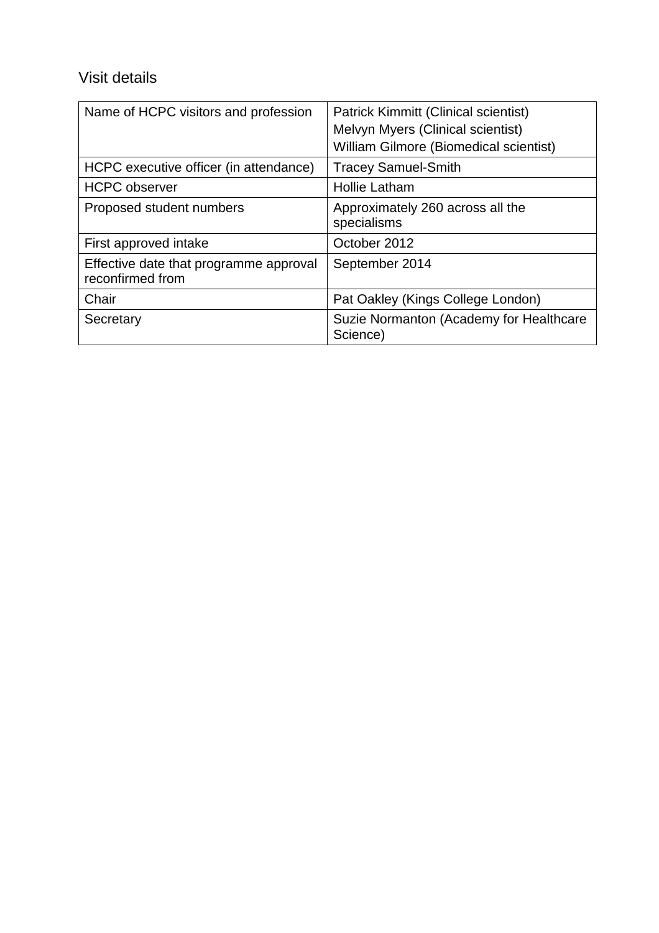# Visit details

| Name of HCPC visitors and profession                       | <b>Patrick Kimmitt (Clinical scientist)</b><br>Melvyn Myers (Clinical scientist)<br>William Gilmore (Biomedical scientist) |
|------------------------------------------------------------|----------------------------------------------------------------------------------------------------------------------------|
| HCPC executive officer (in attendance)                     | <b>Tracey Samuel-Smith</b>                                                                                                 |
| <b>HCPC</b> observer                                       | <b>Hollie Latham</b>                                                                                                       |
| Proposed student numbers                                   | Approximately 260 across all the<br>specialisms                                                                            |
| First approved intake                                      | October 2012                                                                                                               |
| Effective date that programme approval<br>reconfirmed from | September 2014                                                                                                             |
| Chair                                                      | Pat Oakley (Kings College London)                                                                                          |
| Secretary                                                  | Suzie Normanton (Academy for Healthcare<br>Science)                                                                        |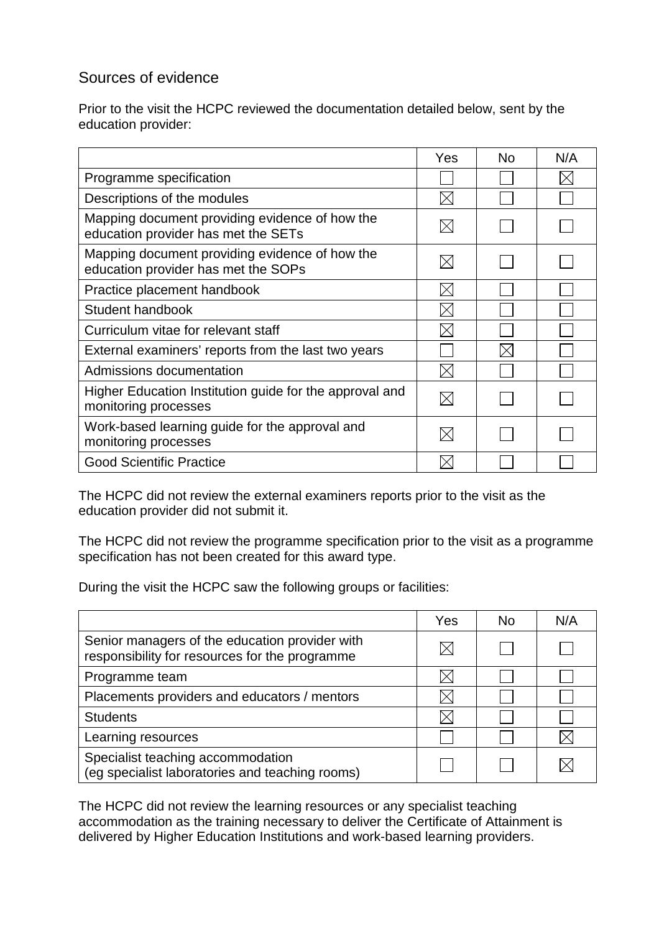# Sources of evidence

Prior to the visit the HCPC reviewed the documentation detailed below, sent by the education provider:

|                                                                                       | Yes | <b>No</b> | N/A |
|---------------------------------------------------------------------------------------|-----|-----------|-----|
| Programme specification                                                               |     |           |     |
| Descriptions of the modules                                                           |     |           |     |
| Mapping document providing evidence of how the<br>education provider has met the SETs |     |           |     |
| Mapping document providing evidence of how the<br>education provider has met the SOPs |     |           |     |
| Practice placement handbook                                                           | IX  |           |     |
| Student handbook                                                                      |     |           |     |
| Curriculum vitae for relevant staff                                                   |     |           |     |
| External examiners' reports from the last two years                                   |     |           |     |
| Admissions documentation                                                              |     |           |     |
| Higher Education Institution guide for the approval and<br>monitoring processes       |     |           |     |
| Work-based learning guide for the approval and<br>monitoring processes                |     |           |     |
| <b>Good Scientific Practice</b>                                                       |     |           |     |

The HCPC did not review the external examiners reports prior to the visit as the education provider did not submit it.

The HCPC did not review the programme specification prior to the visit as a programme specification has not been created for this award type.

During the visit the HCPC saw the following groups or facilities:

|                                                                                                  | Yes | <b>No</b> | N/A |
|--------------------------------------------------------------------------------------------------|-----|-----------|-----|
| Senior managers of the education provider with<br>responsibility for resources for the programme |     |           |     |
| Programme team                                                                                   |     |           |     |
| Placements providers and educators / mentors                                                     |     |           |     |
| <b>Students</b>                                                                                  |     |           |     |
| Learning resources                                                                               |     |           |     |
| Specialist teaching accommodation<br>(eg specialist laboratories and teaching rooms)             |     |           |     |

The HCPC did not review the learning resources or any specialist teaching accommodation as the training necessary to deliver the Certificate of Attainment is delivered by Higher Education Institutions and work-based learning providers.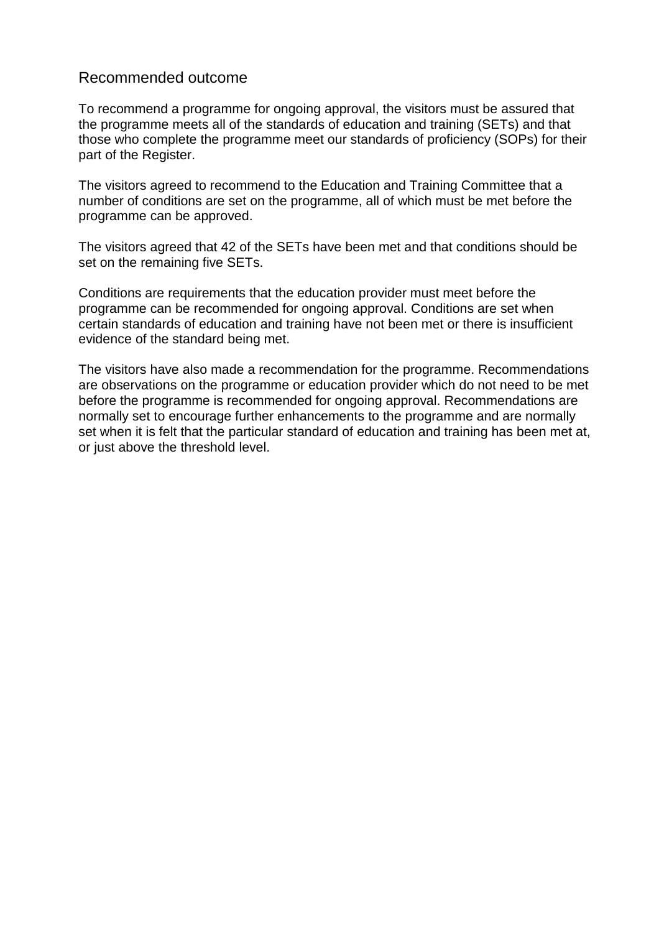### Recommended outcome

To recommend a programme for ongoing approval, the visitors must be assured that the programme meets all of the standards of education and training (SETs) and that those who complete the programme meet our standards of proficiency (SOPs) for their part of the Register.

The visitors agreed to recommend to the Education and Training Committee that a number of conditions are set on the programme, all of which must be met before the programme can be approved.

The visitors agreed that 42 of the SETs have been met and that conditions should be set on the remaining five SETs.

Conditions are requirements that the education provider must meet before the programme can be recommended for ongoing approval. Conditions are set when certain standards of education and training have not been met or there is insufficient evidence of the standard being met.

The visitors have also made a recommendation for the programme. Recommendations are observations on the programme or education provider which do not need to be met before the programme is recommended for ongoing approval. Recommendations are normally set to encourage further enhancements to the programme and are normally set when it is felt that the particular standard of education and training has been met at, or just above the threshold level.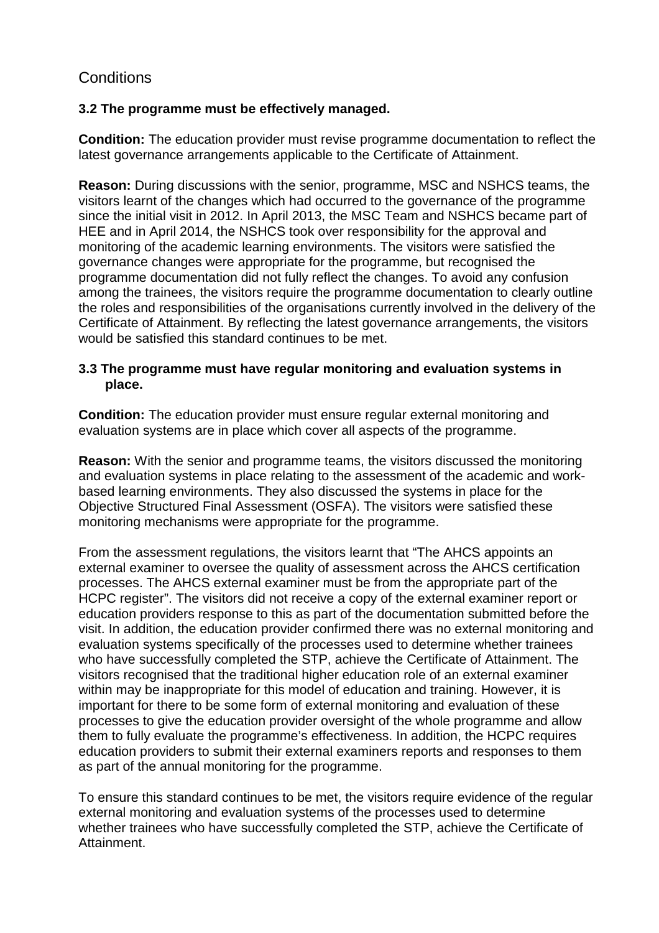# **Conditions**

### **3.2 The programme must be effectively managed.**

**Condition:** The education provider must revise programme documentation to reflect the latest governance arrangements applicable to the Certificate of Attainment.

**Reason:** During discussions with the senior, programme, MSC and NSHCS teams, the visitors learnt of the changes which had occurred to the governance of the programme since the initial visit in 2012. In April 2013, the MSC Team and NSHCS became part of HEE and in April 2014, the NSHCS took over responsibility for the approval and monitoring of the academic learning environments. The visitors were satisfied the governance changes were appropriate for the programme, but recognised the programme documentation did not fully reflect the changes. To avoid any confusion among the trainees, the visitors require the programme documentation to clearly outline the roles and responsibilities of the organisations currently involved in the delivery of the Certificate of Attainment. By reflecting the latest governance arrangements, the visitors would be satisfied this standard continues to be met.

#### **3.3 The programme must have regular monitoring and evaluation systems in place.**

**Condition:** The education provider must ensure regular external monitoring and evaluation systems are in place which cover all aspects of the programme.

**Reason:** With the senior and programme teams, the visitors discussed the monitoring and evaluation systems in place relating to the assessment of the academic and workbased learning environments. They also discussed the systems in place for the Objective Structured Final Assessment (OSFA). The visitors were satisfied these monitoring mechanisms were appropriate for the programme.

From the assessment regulations, the visitors learnt that "The AHCS appoints an external examiner to oversee the quality of assessment across the AHCS certification processes. The AHCS external examiner must be from the appropriate part of the HCPC register". The visitors did not receive a copy of the external examiner report or education providers response to this as part of the documentation submitted before the visit. In addition, the education provider confirmed there was no external monitoring and evaluation systems specifically of the processes used to determine whether trainees who have successfully completed the STP, achieve the Certificate of Attainment. The visitors recognised that the traditional higher education role of an external examiner within may be inappropriate for this model of education and training. However, it is important for there to be some form of external monitoring and evaluation of these processes to give the education provider oversight of the whole programme and allow them to fully evaluate the programme's effectiveness. In addition, the HCPC requires education providers to submit their external examiners reports and responses to them as part of the annual monitoring for the programme.

To ensure this standard continues to be met, the visitors require evidence of the regular external monitoring and evaluation systems of the processes used to determine whether trainees who have successfully completed the STP, achieve the Certificate of Attainment.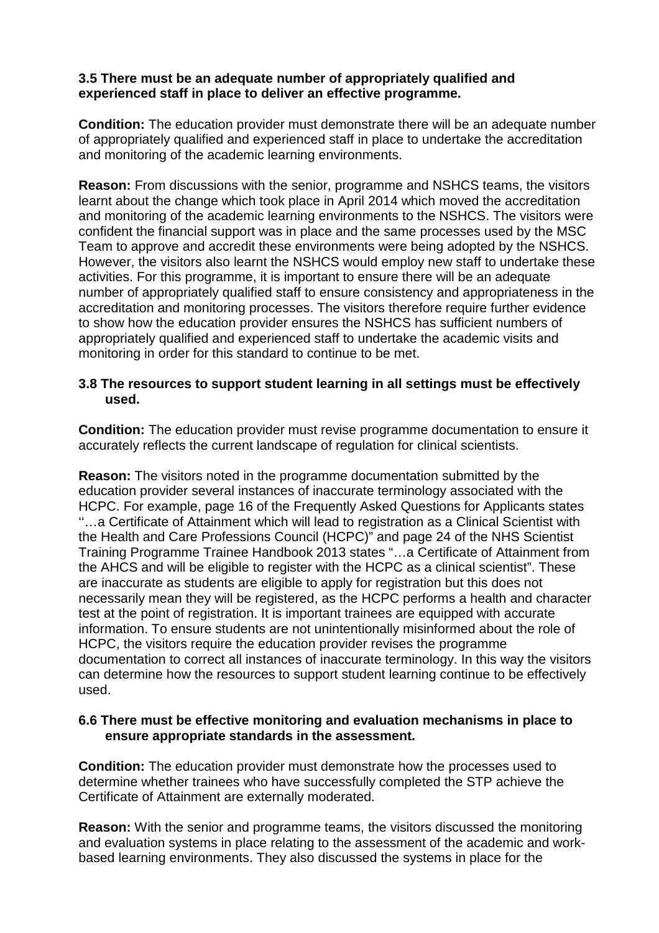#### **3.5 There must be an adequate number of appropriately qualified and experienced staff in place to deliver an effective programme.**

**Condition:** The education provider must demonstrate there will be an adequate number of appropriately qualified and experienced staff in place to undertake the accreditation and monitoring of the academic learning environments.

**Reason:** From discussions with the senior, programme and NSHCS teams, the visitors learnt about the change which took place in April 2014 which moved the accreditation and monitoring of the academic learning environments to the NSHCS. The visitors were confident the financial support was in place and the same processes used by the MSC Team to approve and accredit these environments were being adopted by the NSHCS. However, the visitors also learnt the NSHCS would employ new staff to undertake these activities. For this programme, it is important to ensure there will be an adequate number of appropriately qualified staff to ensure consistency and appropriateness in the accreditation and monitoring processes. The visitors therefore require further evidence to show how the education provider ensures the NSHCS has sufficient numbers of appropriately qualified and experienced staff to undertake the academic visits and monitoring in order for this standard to continue to be met.

#### **3.8 The resources to support student learning in all settings must be effectively used.**

**Condition:** The education provider must revise programme documentation to ensure it accurately reflects the current landscape of regulation for clinical scientists.

**Reason:** The visitors noted in the programme documentation submitted by the education provider several instances of inaccurate terminology associated with the HCPC. For example, page 16 of the Frequently Asked Questions for Applicants states ''…a Certificate of Attainment which will lead to registration as a Clinical Scientist with the Health and Care Professions Council (HCPC)" and page 24 of the NHS Scientist Training Programme Trainee Handbook 2013 states "…a Certificate of Attainment from the AHCS and will be eligible to register with the HCPC as a clinical scientist". These are inaccurate as students are eligible to apply for registration but this does not necessarily mean they will be registered, as the HCPC performs a health and character test at the point of registration. It is important trainees are equipped with accurate information. To ensure students are not unintentionally misinformed about the role of HCPC, the visitors require the education provider revises the programme documentation to correct all instances of inaccurate terminology. In this way the visitors can determine how the resources to support student learning continue to be effectively used.

#### **6.6 There must be effective monitoring and evaluation mechanisms in place to ensure appropriate standards in the assessment.**

**Condition:** The education provider must demonstrate how the processes used to determine whether trainees who have successfully completed the STP achieve the Certificate of Attainment are externally moderated.

**Reason:** With the senior and programme teams, the visitors discussed the monitoring and evaluation systems in place relating to the assessment of the academic and workbased learning environments. They also discussed the systems in place for the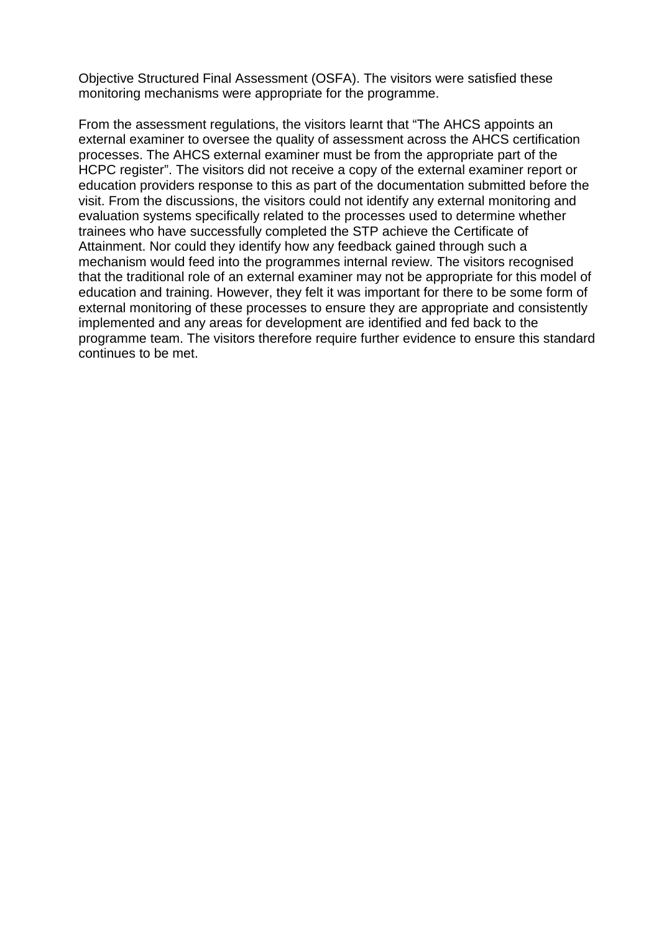Objective Structured Final Assessment (OSFA). The visitors were satisfied these monitoring mechanisms were appropriate for the programme.

From the assessment regulations, the visitors learnt that "The AHCS appoints an external examiner to oversee the quality of assessment across the AHCS certification processes. The AHCS external examiner must be from the appropriate part of the HCPC register". The visitors did not receive a copy of the external examiner report or education providers response to this as part of the documentation submitted before the visit. From the discussions, the visitors could not identify any external monitoring and evaluation systems specifically related to the processes used to determine whether trainees who have successfully completed the STP achieve the Certificate of Attainment. Nor could they identify how any feedback gained through such a mechanism would feed into the programmes internal review. The visitors recognised that the traditional role of an external examiner may not be appropriate for this model of education and training. However, they felt it was important for there to be some form of external monitoring of these processes to ensure they are appropriate and consistently implemented and any areas for development are identified and fed back to the programme team. The visitors therefore require further evidence to ensure this standard continues to be met.